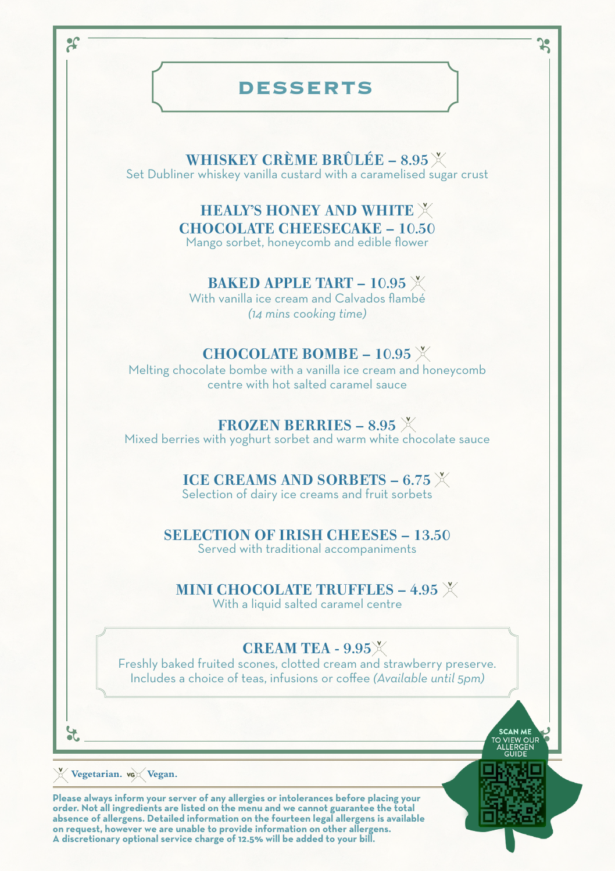# **DESSERTS**

WHISKEY CRÈME BRÛLÉE - 8.95 X Set Dubliner whiskey vanilla custard with a caramelised sugar crust

> HEALY'S HONEY AND WHITE CHOCOLATE CHEESECAKE – 10.50 Mango sorbet, honeycomb and edible flower

> > BAKED APPLE TART – 10.95  $X$

With vanilla ice cream and Calvados flambé *(14 mins cooking time)*

#### CHOCOLATE BOMBE –  $10.95$  X

Melting chocolate bombe with a vanilla ice cream and honeycomb centre with hot salted caramel sauce

### FROZEN BERRIES – 8.95  $X$

Mixed berries with yoghurt sorbet and warm white chocolate sauce

### ICE CREAMS AND SORBETS – 6.75  $X$

Selection of dairy ice creams and fruit sorbets

#### SELECTION OF IRISH CHEESES – 13.50

Served with traditional accompaniments

#### MINI CHOCOLATE TRUFFLES -  $4.95$  X

With a liquid salted caramel centre

## CREAM TEA -  $9.95\%$

Freshly baked fruited scones, clotted cream and strawberry preserve. Includes a choice of teas, infusions or coffee *(Available until 5pm)*

 $\boldsymbol{\mathcal{E}}$ 

**Vegetarian. Vegan.**

**Please always inform your server of any allergies or intolerances before placing your order. Not all ingredients are listed on the menu and we cannot guarantee the total absence of allergens. Detailed information on the fourteen legal allergens is available on request, however we are unable to provide information on other allergens. A discretionary optional service charge of 12.5% will be added to your bill.**